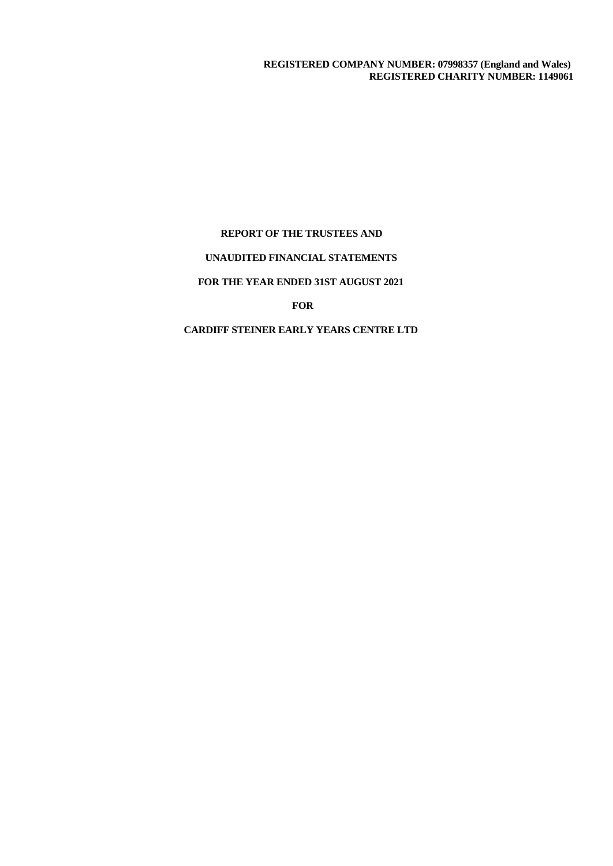## **REPORT OF THE TRUSTEES AND**

## **UNAUDITED FINANCIAL STATEMENTS**

## **FOR THE YEAR ENDED 31ST AUGUST 2021**

# **FOR**

# **CARDIFF STEINER EARLY YEARS CENTRE LTD**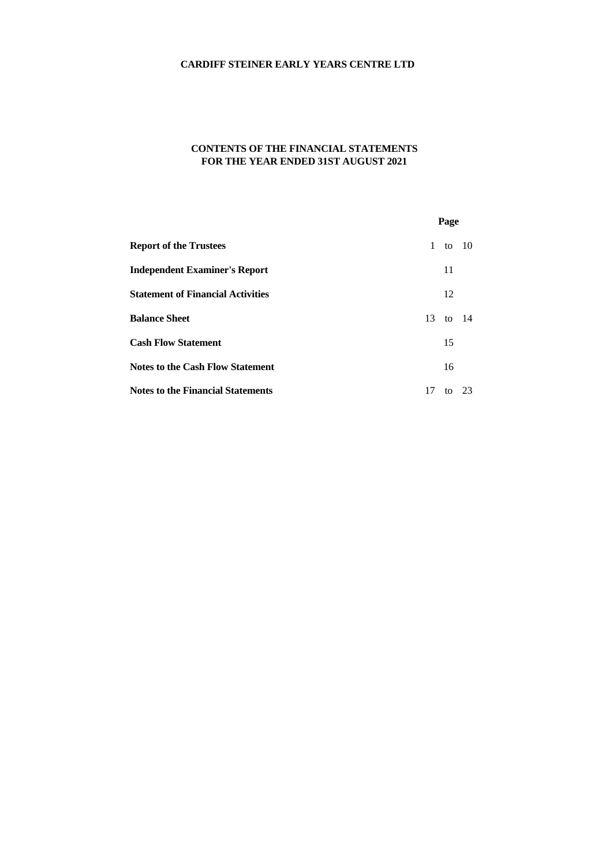# **CONTENTS OF THE FINANCIAL STATEMENTS FOR THE YEAR ENDED 31ST AUGUST 2021**

|                                          | Page          |
|------------------------------------------|---------------|
| <b>Report of the Trustees</b>            | 1 to 10       |
| <b>Independent Examiner's Report</b>     | 11            |
| <b>Statement of Financial Activities</b> | 12            |
| <b>Balance Sheet</b>                     | 13 to 14      |
| <b>Cash Flow Statement</b>               | 15            |
| <b>Notes to the Cash Flow Statement</b>  | 16            |
| <b>Notes to the Financial Statements</b> | 17<br>to $23$ |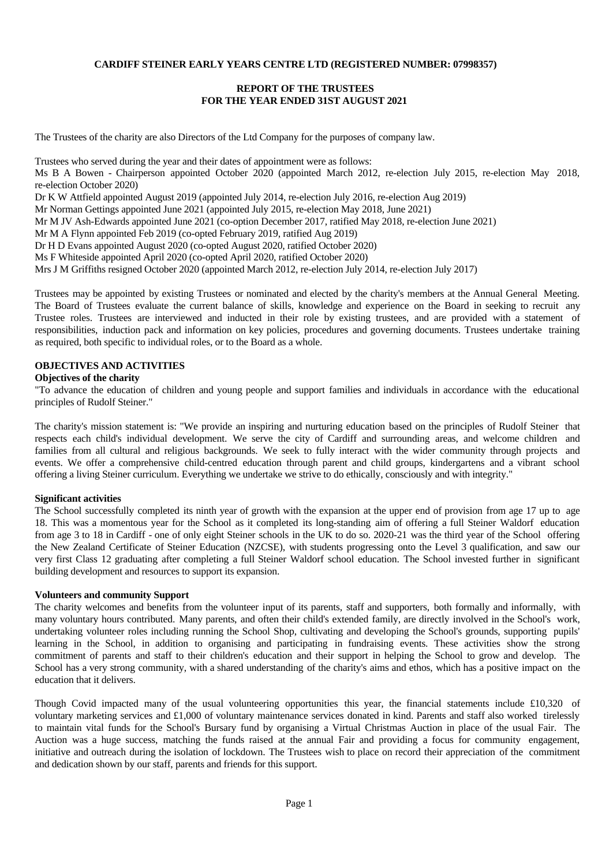## **REPORT OF THE TRUSTEES FOR THE YEAR ENDED 31ST AUGUST 2021**

The Trustees of the charity are also Directors of the Ltd Company for the purposes of company law.

Trustees who served during the year and their dates of appointment were as follows: Ms B A Bowen - Chairperson appointed October 2020 (appointed March 2012, re-election July 2015, re-election May 2018, re-election October 2020) Dr K W Attfield appointed August 2019 (appointed July 2014, re-election July 2016, re-election Aug 2019) Mr Norman Gettings appointed June 2021 (appointed July 2015, re-election May 2018, June 2021) Mr M JV Ash-Edwards appointed June 2021 (co-option December 2017, ratified May 2018, re-election June 2021) Mr M A Flynn appointed Feb 2019 (co-opted February 2019, ratified Aug 2019) Dr H D Evans appointed August 2020 (co-opted August 2020, ratified October 2020)

Ms F Whiteside appointed April 2020 (co-opted April 2020, ratified October 2020)

Mrs J M Griffiths resigned October 2020 (appointed March 2012, re-election July 2014, re-election July 2017)

Trustees may be appointed by existing Trustees or nominated and elected by the charity's members at the Annual General Meeting. The Board of Trustees evaluate the current balance of skills, knowledge and experience on the Board in seeking to recruit any Trustee roles. Trustees are interviewed and inducted in their role by existing trustees, and are provided with a statement of responsibilities, induction pack and information on key policies, procedures and governing documents. Trustees undertake training as required, both specific to individual roles, or to the Board as a whole.

#### **OBJECTIVES AND ACTIVITIES**

#### **Objectives of the charity**

"To advance the education of children and young people and support families and individuals in accordance with the educational principles of Rudolf Steiner."

The charity's mission statement is: "We provide an inspiring and nurturing education based on the principles of Rudolf Steiner that respects each child's individual development. We serve the city of Cardiff and surrounding areas, and welcome children and families from all cultural and religious backgrounds. We seek to fully interact with the wider community through projects and events. We offer a comprehensive child-centred education through parent and child groups, kindergartens and a vibrant school offering a living Steiner curriculum. Everything we undertake we strive to do ethically, consciously and with integrity."

#### **Significant activities**

The School successfully completed its ninth year of growth with the expansion at the upper end of provision from age 17 up to age 18. This was a momentous year for the School as it completed its long-standing aim of offering a full Steiner Waldorf education from age 3 to 18 in Cardiff - one of only eight Steiner schools in the UK to do so. 2020-21 was the third year of the School offering the New Zealand Certificate of Steiner Education (NZCSE), with students progressing onto the Level 3 qualification, and saw our very first Class 12 graduating after completing a full Steiner Waldorf school education. The Schoolinvested further in significant building development and resources to support its expansion.

#### **Volunteers and community Support**

The charity welcomes and benefits from the volunteer input of its parents, staff and supporters, both formally and informally, with many voluntary hours contributed. Many parents, and often their child's extended family, are directly involved in the School's work, undertaking volunteer roles including running the School Shop, cultivating and developing the School's grounds, supporting pupils' learning in the School, in addition to organising and participating in fundraising events. These activities show the strong commitment of parents and staff to their children's education and their support in helping the School to grow and develop. The School has a very strong community, with a shared understanding of the charity's aims and ethos, which has a positive impact on the education that it delivers.

Though Covid impacted many of the usual volunteering opportunities this year, the financial statements include £10,320 of voluntary marketing services and £1,000 of voluntary maintenance services donated in kind. Parents and staff also worked tirelessly to maintain vital funds for the School's Bursary fund by organising a VirtualChristmas Auction in place of the usual Fair. The Auction was a huge success, matching the funds raised at the annual Fair and providing a focus for community engagement, initiative and outreach during the isolation of lockdown. The Trustees wish to place on record their appreciation of the commitment and dedication shown by our staff, parents and friends for this support.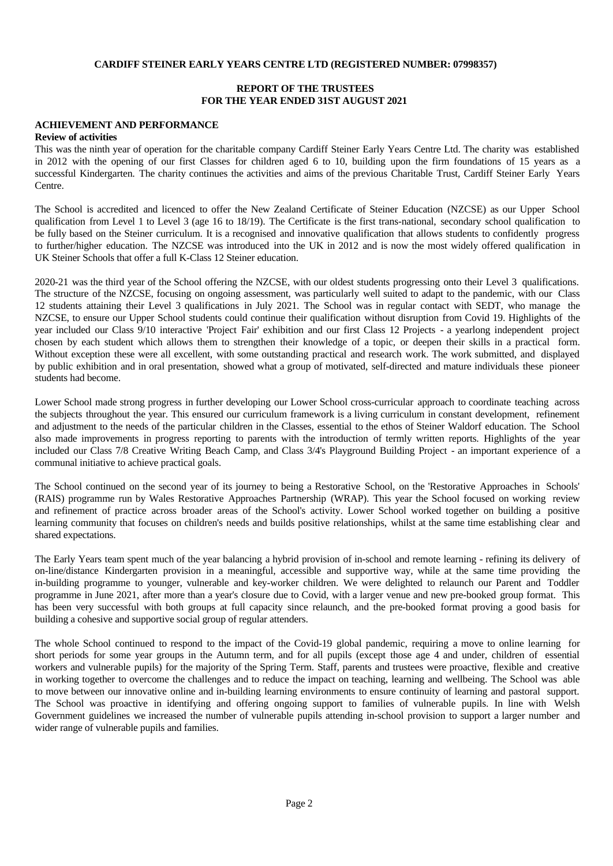## **REPORT OF THE TRUSTEES FOR THE YEAR ENDED 31ST AUGUST 2021**

## **ACHIEVEMENT AND PERFORMANCE**

#### **Review of activities**

This was the ninth year of operation for the charitable company Cardiff Steiner Early Years Centre Ltd. The charity was established in 2012 with the opening of our first Classes for children aged 6 to 10, building upon the firm foundations of 15 years as a successful Kindergarten. The charity continues the activities and aims of the previous Charitable Trust, Cardiff Steiner Early Years Centre.

The School is accredited and licenced to offer the New Zealand Certificate of Steiner Education (NZCSE) as our Upper School qualification from Level 1 to Level 3 (age 16 to 18/19). The Certificate isthe first trans-national, secondary school qualification to be fully based on the Steiner curriculum. It is a recognised and innovative qualification that allows students to confidently progress to further/higher education. The NZCSE was introduced into the UK in 2012 and is now the most widely offered qualification in UK Steiner Schools that offer a full K-Class 12 Steiner education.

2020-21 was the third year of the School offering the NZCSE, with our oldest students progressing onto their Level 3 qualifications. The structure of the NZCSE, focusing on ongoing assessment, was particularly well suited to adapt to the pandemic, with our Class 12 students attaining their Level 3 qualifications in July 2021. The Schoolwas in regularcontact with SEDT, who manage the NZCSE, to ensure our Upper School students could continue their qualification without disruption from Covid 19. Highlights of the year included our Class 9/10 interactive 'Project Fair' exhibition and our first Class 12 Projects - a yearlong independent project chosen by each student which allows them to strengthen their knowledge of a topic, or deepen their skills in a practical form. Without exception these were all excellent, with some outstanding practical and research work. The work submitted, and displayed by public exhibition and in oral presentation, showed what a group of motivated, self-directed and mature individuals these pioneer students had become.

Lower School made strong progress in further developing our Lower School cross-curricular approach to coordinate teaching across the subjects throughout the year. This ensured our curriculum framework is a living curriculum in constant development, refinement and adjustment to the needs ofthe particular children in the Classes, essential to the ethos of Steiner Waldorf education. The School also made improvements in progress reporting to parents with the introduction of termly written reports. Highlights of the year included our Class 7/8 Creative Writing Beach Camp, and Class 3/4's Playground Building Project - an important experience of a communal initiative to achieve practical goals.

The School continued on the second year of its journey to being a Restorative School, on the 'Restorative Approaches in Schools' (RAIS) programme run by Wales Restorative Approaches Partnership (WRAP). This year the School focused on working review and refinement of practice across broader areas of the School's activity. Lower School worked together on building a positive learning community that focuses on children's needs and builds positive relationships, whilst at the same time establishing clear and shared expectations.

The Early Years team spent much of the year balancing a hybrid provision of in-school and remote learning - refining its delivery of on-line/distance Kindergarten provision in a meaningful, accessible and supportive way, while at the same time providing the in-building programme to younger, vulnerable and key-worker children. We were delighted to relaunch our Parent and Toddler programme in June 2021, after more than a year's closure due to Covid, with a larger venue and new pre-booked group format. This has been very successful with both groups at full capacity since relaunch, and the pre-booked format proving a good basis for building a cohesive and supportive social group of regular attenders.

The whole School continued to respond to the impact of the Covid-19 global pandemic, requiring a move to online learning for short periods for some year groups in the Autumn term, and for all pupils (except those age 4 and under, children of essential workers and vulnerable pupils) for the majority of the Spring Term. Staff, parents and trustees were proactive, flexible and creative in working together to overcome the challenges and to reduce the impact on teaching, learning and wellbeing. The School was able to move between our innovative online and in-building learning environments to ensure continuity of learning and pastoral support. The School was proactive in identifying and offering ongoing support to families of vulnerable pupils. In line with Welsh Government guidelines we increased the number of vulnerable pupils attending in-school provision to support a larger number and wider range of vulnerable pupils and families.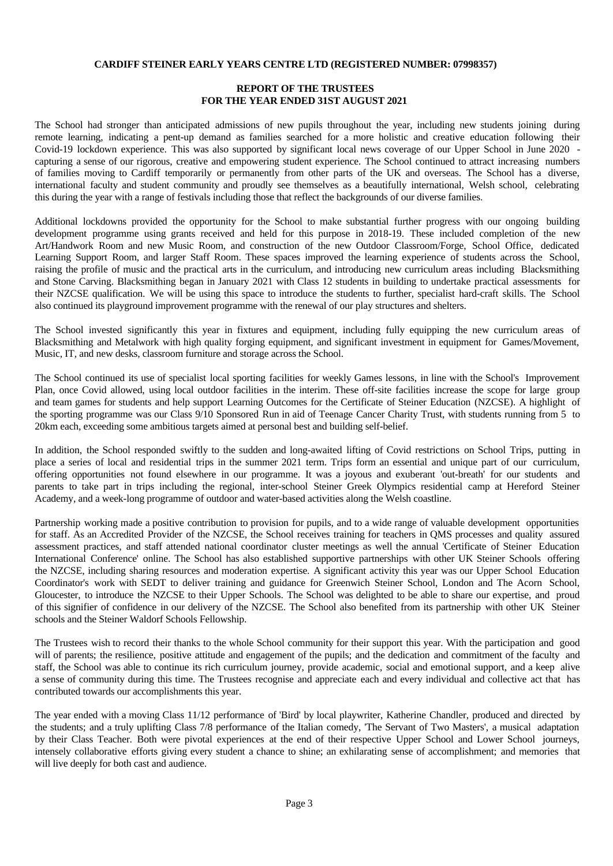## **REPORT OF THE TRUSTEES FOR THE YEAR ENDED 31ST AUGUST 2021**

The School had stronger than anticipated admissions of new pupils throughout the year, including new students joining during remote learning, indicating a pent-up demand as families searched for a more holistic and creative education following their Covid-19 lockdown experience. This was also supported by significant local news coverage of our Upper School in June 2020 capturing a sense of our rigorous, creative and empowering student experience. The School continued to attract increasing numbers of families moving to Cardiff temporarily or permanently from other parts of the UK and overseas. The Schoolhas a diverse, international faculty and student community and proudly see themselves as a beautifully international, Welsh school, celebrating this during the year with a range of festivals including those that reflect the backgrounds of our diverse families.

Additional lockdowns provided the opportunity for the School to make substantial further progress with our ongoing building development programme using grants received and held for this purpose in 2018-19. These included completion of the new Art/Handwork Room and new Music Room, and construction of the new Outdoor Classroom/Forge, School Office, dedicated Learning Support Room, and larger Staff Room. These spaces improved the learning experience of students across the School, raising the profile of music and the practical arts in the curriculum, and introducing new curriculum areas including Blacksmithing and Stone Carving. Blacksmithing began in January 2021 with Class 12 students in building to undertake practical assessments for their NZCSE qualification. We will be using this space to introduce the students to further, specialist hard-craft skills. The School also continued its playground improvement programme with the renewal of our play structures and shelters.

The School invested significantly this year in fixtures and equipment, including fully equipping the new curriculum areas of Blacksmithing and Metalwork with high quality forging equipment, and significant investment in equipment for Games/Movement, Music, IT, and new desks, classroom furniture and storage across the School.

The School continued its use of specialist local sporting facilities for weekly Games lessons, in line with the School's Improvement Plan, once Covid allowed, using local outdoor facilities in the interim. These off-site facilities increase the scope for large group and team games for students and help support Learning Outcomes for the Certificate of Steiner Education (NZCSE). A highlight of the sporting programme was our Class 9/10 Sponsored Run in aid of Teenage Cancer Charity Trust, with students running from 5 to 20km each, exceeding some ambitious targets aimed at personal best and building self-belief.

In addition, the School responded swiftly to the sudden and long-awaited lifting of Covid restrictions on School Trips, putting in place a series of local and residential trips in the summer 2021 term. Trips form an essential and unique part of our curriculum, offering opportunities not found elsewhere in our programme. It was a joyous and exuberant 'out-breath' for our students and parents to take part in tripsincluding the regional, inter-school Steiner Greek Olympics residential camp at Hereford Steiner Academy, and a week-long programme of outdoor and water-based activities along the Welsh coastline.

Partnership working made a positive contribution to provision for pupils, and to a wide range of valuable development opportunities for staff. As an Accredited Provider of the NZCSE, the School receives training for teachers in QMS processes and quality assured assessment practices, and staff attended national coordinator cluster meetings as wellthe annual 'Certificate of Steiner Education International Conference' online. The School has also established supportive partnerships with other UK Steiner Schools offering the NZCSE, including sharing resources and moderation expertise. A significant activity this year was our Upper School Education Coordinator's work with SEDT to deliver training and guidance for Greenwich Steiner School, London and The Acorn School, Gloucester, to introduce the NZCSE to their Upper Schools. The School was delighted to be able to share our expertise, and proud of this signifier of confidence in our delivery of the NZCSE.The School also benefited from its partnership with other UK Steiner schools and the Steiner Waldorf Schools Fellowship.

The Trustees wish to record their thanks to the whole School community for their support this year. With the participation and good will of parents; the resilience, positive attitude and engagement of the pupils; and the dedication and commitment of the faculty and staff, the School was able to continue its rich curriculum journey, provide academic, social and emotional support, and a keep alive a sense of community during this time. The Trustees recognise and appreciate each and every individual and collective act that has contributed towards our accomplishments this year.

The year ended with a moving Class 11/12 performance of 'Bird' by local playwriter, Katherine Chandler, produced and directed by the students; and a truly uplifting Class 7/8 performance of the Italian comedy, 'The Servant of Two Masters', a musical adaptation by their Class Teacher. Both were pivotal experiences at the end of their respective Upper School and Lower School journeys, intensely collaborative efforts giving every student a chance to shine; an exhilarating sense of accomplishment; and memories that will live deeply for both cast and audience.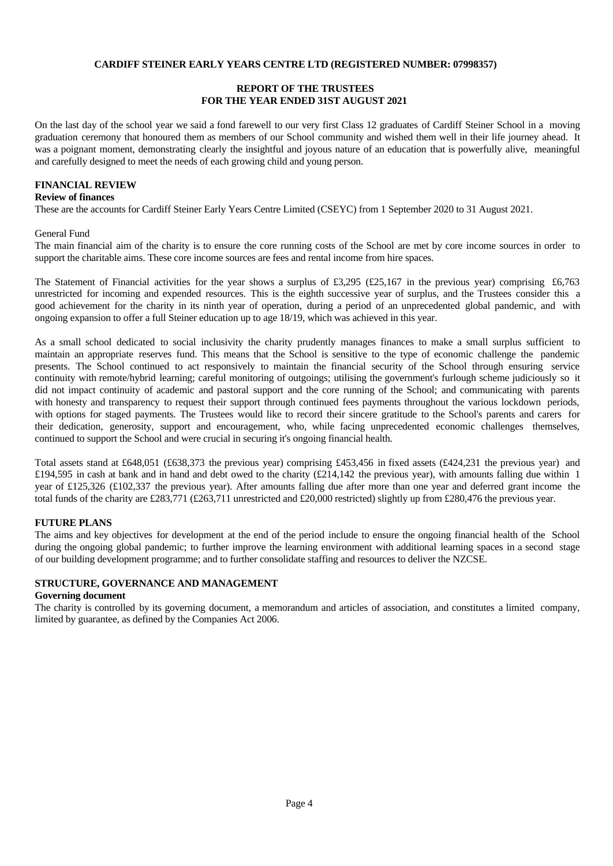## **REPORT OF THE TRUSTEES FOR THE YEAR ENDED 31ST AUGUST 2021**

On the last day of the school year we said a fond farewell to our very first Class 12 graduates of Cardiff Steiner School in a moving graduation ceremony that honoured them as members of our School community and wished them wellin their life journey ahead. It was a poignant moment, demonstrating clearly the insightful and joyous nature of an education that is powerfully alive, meaningful and carefully designed to meet the needs of each growing child and young person.

#### **FINANCIAL REVIEW**

#### **Review of finances**

These are the accounts for Cardiff Steiner Early Years Centre Limited (CSEYC) from 1 September 2020 to 31 August 2021.

#### General Fund

The main financial aim of the charity is to ensure the core running costs of the Schoolare met by core income sources in order to support the charitable aims. These core income sources are fees and rental income from hire spaces.

The Statement of Financial activities for the year shows a surplus of £3,295 (£25,167 in the previous year) comprising £6,763 unrestricted for incoming and expended resources. This is the eighth successive yearof surplus, and the Trustees consider this a good achievement for the charity in its ninth year of operation, during a period of an unprecedented global pandemic, and with ongoing expansion to offer a full Steiner education up to age 18/19, which was achieved in this year.

As a small school dedicated to social inclusivity the charity prudently manages finances to make a small surplus sufficient to maintain an appropriate reserves fund. This means that the Schoolis sensitive to the type of economic challenge the pandemic presents. The School continued to act responsively to maintain the financial security of the School through ensuring service continuity with remote/hybrid learning; careful monitoring of outgoings; utilising the government's furlough scheme judiciously so it did not impact continuity of academic and pastoral support and the core running of the School; and communicating with parents with honesty and transparency to request their support through continued fees payments throughout the various lockdown periods, with options for staged payments. The Trustees would like to record their sincere gratitude to the School's parents and carers for their dedication, generosity, support and encouragement, who, while facing unprecedented economic challenges themselves, continued to support the School and were crucial in securing it's ongoing financial health.

Total assets stand at £648,051 (£638,373 the previous year) comprising £453,456 in fixed assets (£424,231 the previous year) and £194,595 in cash at bank and in hand and debt owed to the charity (£214,142 the previous year), with amounts falling due within 1 year of  $\text{\pounds}125,326$  ( $\text{\pounds}102,337$  the previous year). After amounts falling due after more than one year and deferred grant income the total funds of the charity are £283,771 (£263,711 unrestricted and £20,000 restricted) slightly up from £280,476 the previous year.

## **FUTURE PLANS**

The aims and key objectives for development at the end of the period include to ensure the ongoing financial health of the School during the ongoing global pandemic; to further improve the learning environment with additional learning spaces in a second stage of our building development programme; and to further consolidate staffing and resources to deliver the NZCSE.

## **STRUCTURE, GOVERNANCE AND MANAGEMENT**

#### **Governing document**

The charity is controlled by its governing document, a memorandum and articles of association, and constitutes a limited company, limited by guarantee, as defined by the Companies Act 2006.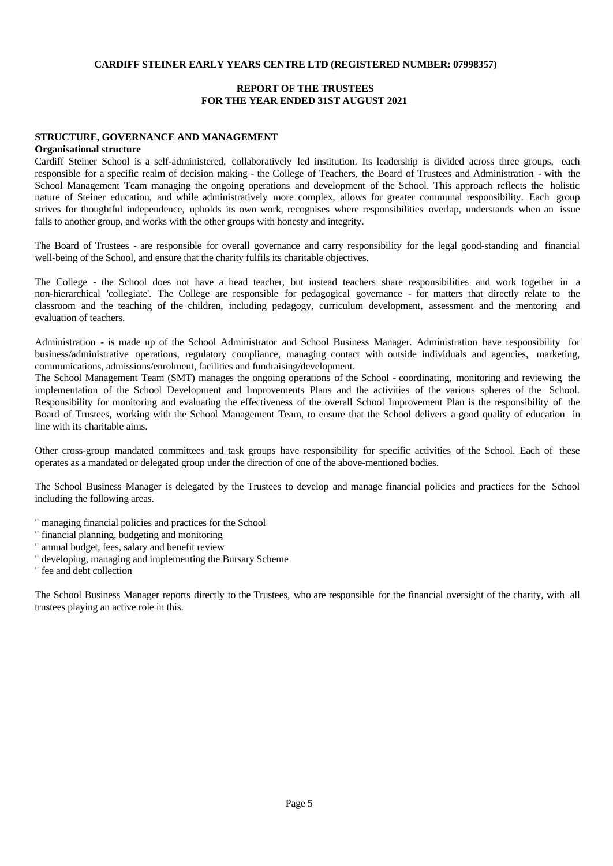#### **REPORT OF THE TRUSTEES FOR THE YEAR ENDED 31ST AUGUST 2021**

## **STRUCTURE, GOVERNANCE AND MANAGEMENT**

#### **Organisational structure**

Cardiff Steiner School is a self-administered, collaboratively led institution. Its leadership is divided across three groups, each responsible for a specific realm of decision making - the College of Teachers, the Board of Trustees and Administration - with the School Management Team managing the ongoing operations and development of the School. This approach reflects the holistic nature of Steiner education, and while administratively more complex, allows for greater communal responsibility. Each group strives for thoughtful independence, upholds its own work, recognises where responsibilities overlap, understands when an issue falls to another group, and works with the other groups with honesty and integrity.

The Board of Trustees - are responsible for overall governance and carry responsibility for the legal good-standing and financial well-being of the School, and ensure that the charity fulfils its charitable objectives.

The College - the School does not have a head teacher, but instead teachers share responsibilities and work together in a non-hierarchical 'collegiate'. The College are responsible for pedagogical governance - for matters that directly relate to the classroom and the teaching of the children, including pedagogy, curriculum development, assessment and the mentoring and evaluation of teachers.

Administration - is made up of the School Administrator and School Business Manager. Administration have responsibility for business/administrative operations, regulatory compliance, managing contact with outside individuals and agencies, marketing, communications, admissions/enrolment, facilities and fundraising/development.

The School Management Team (SMT) manages the ongoing operations of the School - coordinating, monitoring and reviewing the implementation of the School Development and Improvements Plans and the activities of the various spheres of the School. Responsibility for monitoring and evaluating the effectiveness of the overall School Improvement Plan is the responsibility of the Board of Trustees, working with the School Management Team, to ensure that the School delivers a good quality of education in line with its charitable aims.

Other cross-group mandated committees and task groups have responsibility for specific activities of the School. Each of these operates as a mandated or delegated group under the direction of one of the above-mentioned bodies.

The School Business Manager is delegated by the Trustees to develop and manage financial policies and practices for the School including the following areas.

- " managing financial policies and practices for the School
- " financial planning, budgeting and monitoring
- " annual budget, fees, salary and benefit review
- " developing, managing and implementing the Bursary Scheme

" fee and debt collection

The School Business Manager reports directly to the Trustees, who are responsible for the financial oversight of the charity, with all trustees playing an active role in this.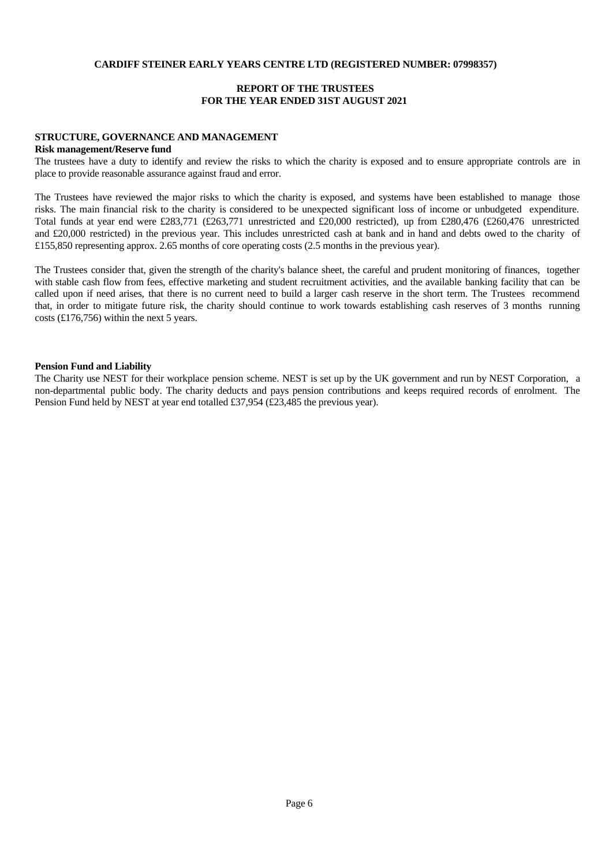## **REPORT OF THE TRUSTEES FOR THE YEAR ENDED 31ST AUGUST 2021**

# **STRUCTURE, GOVERNANCE AND MANAGEMENT**

#### **Risk management/Reserve fund**

The trustees have a duty to identify and review the risks to which the charity is exposed and to ensure appropriate controls are in place to provide reasonable assurance against fraud and error.

The Trustees have reviewed the major risks to which the charity is exposed, and systems have been established to manage those risks. The main financial risk to the charity is considered to be unexpected significant loss of income or unbudgeted expenditure. Total funds at year end were £283,771 (£263,771 unrestricted and £20,000 restricted), up from £280,476 (£260,476 unrestricted and £20,000 restricted) in the previous year. This includes unrestricted cash at bank and in hand and debts owed to the charity of £155,850 representing approx. 2.65 months of core operating costs (2.5 months in the previous year).

The Trustees consider that, given the strength of the charity's balance sheet, the careful and prudent monitoring of finances, together with stable cash flow from fees, effective marketing and student recruitment activities, and the available banking facility that can be called upon if need arises, that there is no current need to build a larger cash reserve in the short term. The Trustees recommend that, in order to mitigate future risk, the charity should continue to work towards establishing cash reserves of 3 months running costs  $(£176,756)$  within the next 5 years.

## **Pension Fund and Liability**

The Charity use NEST for their workplace pension scheme. NEST is set up by the UK government and run by NEST Corporation, a non-departmental public body. The charity deducts and pays pension contributions and keeps required records of enrolment. The Pension Fund held by NEST at year end totalled £37,954 (£23,485 the previous year).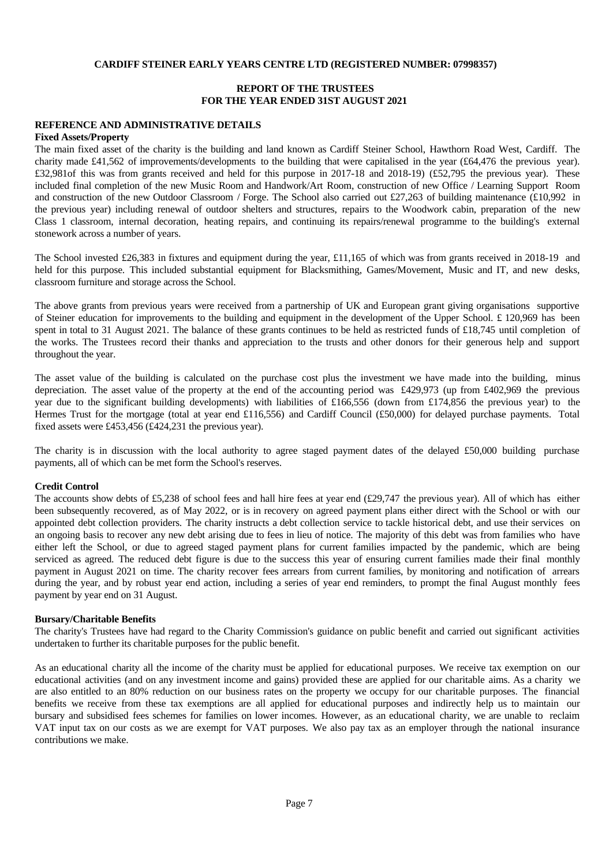## **REPORT OF THE TRUSTEES FOR THE YEAR ENDED 31ST AUGUST 2021**

#### **REFERENCE AND ADMINISTRATIVE DETAILS**

#### **Fixed Assets/Property**

The main fixed asset of the charity is the building and land known as Cardiff Steiner School, Hawthorn Road West, Cardiff. The charity made £41,562 of improvements/developments to the building that were capitalised in the year (£64,476 the previous year). £32,981of this was from grants received and held for this purpose in 2017-18 and 2018-19) (£52,795 the previous year). These included final completion of the new Music Room and Handwork/Art Room, construction of new Office / Learning Support Room and construction of the new Outdoor Classroom / Forge. The School also carried out £27,263 of building maintenance  $(£10,992)$  in the previous year) including renewal of outdoor shelters and structures, repairs to the Woodwork cabin, preparation of the new Class 1 classroom, internal decoration, heating repairs, and continuing its repairs/renewal programme to the building's external stonework across a number of years.

The School invested £26,383 in fixtures and equipment during the year, £11,165 of which was from grants received in 2018-19 and held for this purpose. This included substantial equipment for Blacksmithing, Games/Movement, Music and IT, and new desks, classroom furniture and storage across the School.

The above grants from previous years were received from a partnership of UK and European grant giving organisations supportive of Steiner education for improvements to the building and equipment in the development of the Upper School. £ 120,969 has been spent in total to 31 August 2021. The balance of these grants continues to be held as restricted funds of £18,745 until completion of the works. The Trustees record their thanks and appreciation to the trusts and other donors for their generous help and support throughout the year.

The asset value of the building is calculated on the purchase cost plus the investment we have made into the building, minus depreciation. The asset value of the property at the end of the accounting period was £429,973 (up from £402,969 the previous year due to the significant building developments) with liabilities of £166,556 (down from £174,856 the previous year) to the Hermes Trust for the mortgage (total at year end £116,556) and Cardiff Council (£50,000) for delayed purchase payments. Total fixed assets were £453,456 (£424,231 the previous year).

The charity is in discussion with the local authority to agree staged payment dates of the delayed £50,000 building purchase payments, all of which can be met form the School's reserves.

#### **Credit Control**

The accounts show debts of £5,238 of school fees and hall hire fees at year end  $(\text{\textsterling}29,747)$  the previous year). All of which has either been subsequently recovered, as of May 2022, or is in recovery on agreed payment plans either direct with the School or with our appointed debt collection providers. The charity instructs a debt collection service to tackle historical debt, and use their services on an ongoing basis to recoverany new debt arising due to fees in lieu of notice. The majority of this debt was from families who have either left the School, or due to agreed staged payment plans for current families impacted by the pandemic, which are being serviced as agreed. The reduced debt figure is due to the success this year of ensuring current families made their final monthly payment in August 2021 on time. The charity recover fees arrears from current families, by monitoring and notification of arrears during the year, and by robust year end action, including a series of year end reminders, to prompt the final August monthly fees payment by year end on 31 August.

#### **Bursary/Charitable Benefits**

The charity's Trustees have had regard to the Charity Commission's guidance on public benefit and carried out significant activities undertaken to further its charitable purposes for the public benefit.

As an educational charity all the income of the charity must be applied for educational purposes. We receive tax exemption on our educational activities (and on any investment income and gains) provided these are applied for ourcharitable aims. As a charity we are also entitled to an 80% reduction on our business rates on the property we occupy for ourcharitable purposes. The financial benefits we receive from these tax exemptions are all applied for educational purposes and indirectly help us to maintain our bursary and subsidised fees schemes for families on lower incomes. However, as an educational charity, we are unable to reclaim VAT input tax on our costs as we are exempt for VAT purposes. We also pay tax as an employer through the national insurance contributions we make.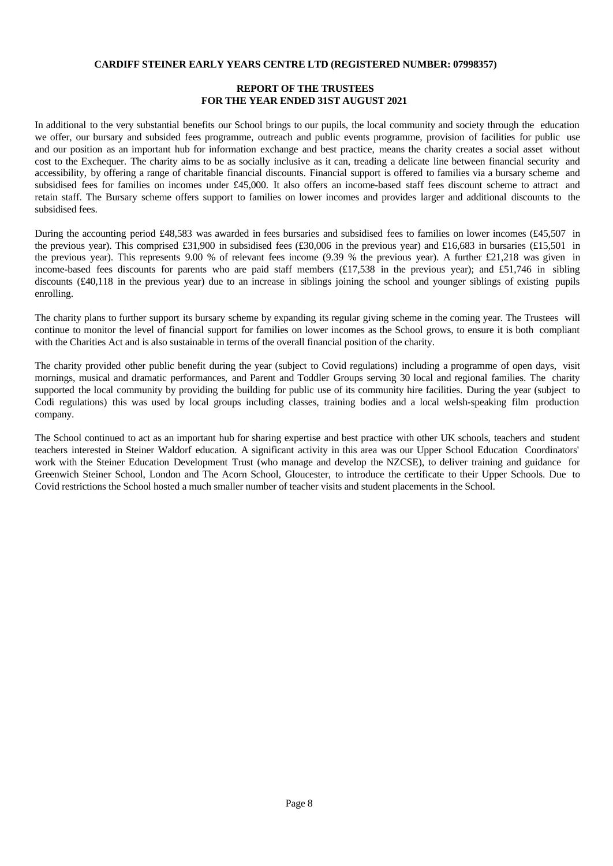## **REPORT OF THE TRUSTEES FOR THE YEAR ENDED 31ST AUGUST 2021**

In additional to the very substantial benefits our School brings to our pupils, the local community and society through the education we offer, our bursary and subsided fees programme, outreach and public events programme, provision of facilities for public use and our position as an important hub for information exchange and best practice, means the charity creates a social asset without cost to the Exchequer. The charity aims to be as socially inclusive as it can, treading a delicate line between financial security and accessibility, by offering a range of charitable financial discounts. Financial support is offered to families via a bursary scheme and subsidised fees for families on incomes under £45,000. It also offers an income-based staff fees discount scheme to attract and retain staff. The Bursary scheme offers support to families on lower incomes and provides larger and additional discounts to the subsidised fees.

During the accounting period £48,583 was awarded in fees bursaries and subsidised fees to families on lower incomes (£45,507 in the previous year). This comprised £31,900 in subsidised fees  $(£30,006$  in the previous year) and £16,683 in bursaries  $(£15,501$  in the previous year).This represents 9.00 % of relevant fees income (9.39 % the previous year). A further £21,218 was given in income-based fees discounts for parents who are paid staff members  $(£17,538)$  in the previous year); and £51,746 in sibling discounts (£40,118 in the previous year) due to an increase in siblings joining the school and younger siblings of existing pupils enrolling.

The charity plans to further support its bursary scheme by expanding its regular giving scheme in the coming year. The Trustees will continue to monitor the level of financial support for families on lower incomes as the School grows, to ensure it is both compliant with the Charities Act and is also sustainable in terms of the overall financial position of the charity.

The charity provided other public benefit during the year (subject to Covid regulations) including a programme of open days, visit mornings, musical and dramatic performances, and Parent and Toddler Groups serving 30 local and regional families. The charity supported the local community by providing the building for public use of its community hire facilities. During the year (subject to Codi regulations) this was used by local groups including classes, training bodies and a local welsh-speaking film production company.

The School continued to act as an important hub for sharing expertise and best practice with other UK schools, teachers and student teachers interested in Steiner Waldorf education. A significant activity in this area was our Upper School Education Coordinators' work with the Steiner Education Development Trust (who manage and develop the NZCSE), to deliver training and guidance for Greenwich Steiner School, London and The Acorn School, Gloucester, to introduce the certificate to their Upper Schools. Due to Covid restrictions the School hosted a much smaller number of teacher visits and student placements in the School.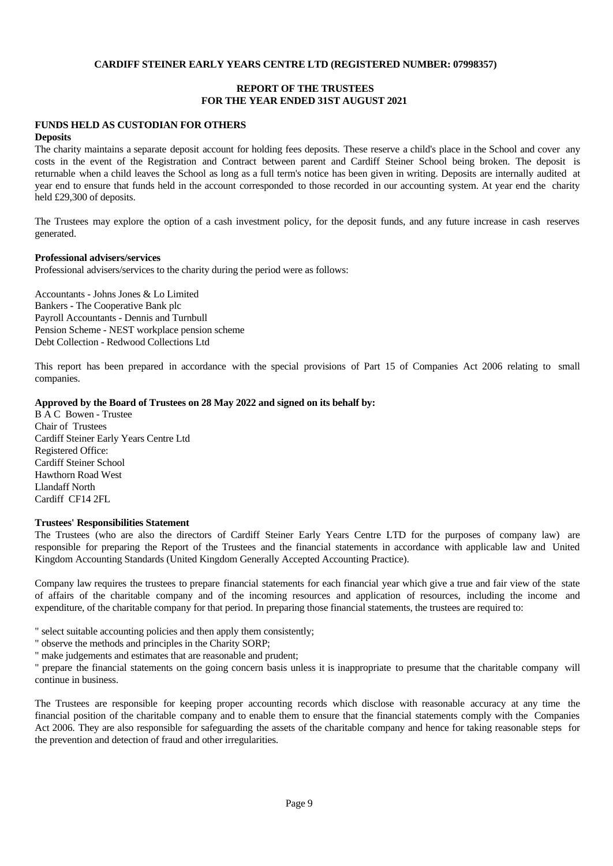## **REPORT OF THE TRUSTEES FOR THE YEAR ENDED 31ST AUGUST 2021**

## **FUNDS HELD AS CUSTODIAN FOR OTHERS**

#### **Deposits**

The charity maintains a separate deposit account for holding fees deposits. These reserve a child's place in the School and cover any costs in the event of the Registration and Contract between parent and Cardiff Steiner School being broken. The deposit is returnable when a child leaves the School as long as a full term's notice has been given in writing. Deposits are internally audited at year end to ensure that funds held in the account corresponded to those recorded in our accounting system. At year end the charity held £29,300 of deposits.

The Trustees may explore the option of a cash investment policy, for the deposit funds, and any future increase in cash reserves generated.

#### **Professional advisers/services**

Professional advisers/services to the charity during the period were as follows:

Accountants - Johns Jones & Lo Limited Bankers - The Cooperative Bank plc Payroll Accountants - Dennis and Turnbull Pension Scheme - NEST workplace pension scheme Debt Collection - Redwood Collections Ltd

This report has been prepared in accordance with the special provisions of Part 15 of Companies Act 2006 relating to small companies.

#### **Approved by the Board of Trustees on 28 May 2022 and signed on its behalf by:**

B A C Bowen - Trustee Chair of Trustees Cardiff Steiner Early Years Centre Ltd Registered Office: Cardiff Steiner School Hawthorn Road West Llandaff North Cardiff CF14 2FL

#### **Trustees' Responsibilities Statement**

The Trustees (who are also the directors of Cardiff Steiner Early Years Centre LTD for the purposes of company law) are responsible for preparing the Report of the Trustees and the financial statements in accordance with applicable law and United Kingdom Accounting Standards (United Kingdom Generally Accepted Accounting Practice).

Company law requires the trustees to prepare financial statements for each financial year which give a true and fair view of the state of affairs of the charitable company and of the incoming resources and application of resources, including the income and expenditure, of the charitable company for that period. In preparing those financial statements, the trustees are required to:

- " select suitable accounting policies and then apply them consistently;
- " observe the methods and principles in the Charity SORP;
- " make judgements and estimates that are reasonable and prudent;

" prepare the financial statements on the going concern basis unless it is inappropriate to presume that the charitable company will continue in business.

The Trustees are responsible for keeping proper accounting records which disclose with reasonable accuracy at any time the financial position of the charitable company and to enable them to ensure that the financial statements comply with the Companies Act 2006. They are also responsible for safeguarding the assets of the charitable company and hence for taking reasonable steps for the prevention and detection of fraud and other irregularities.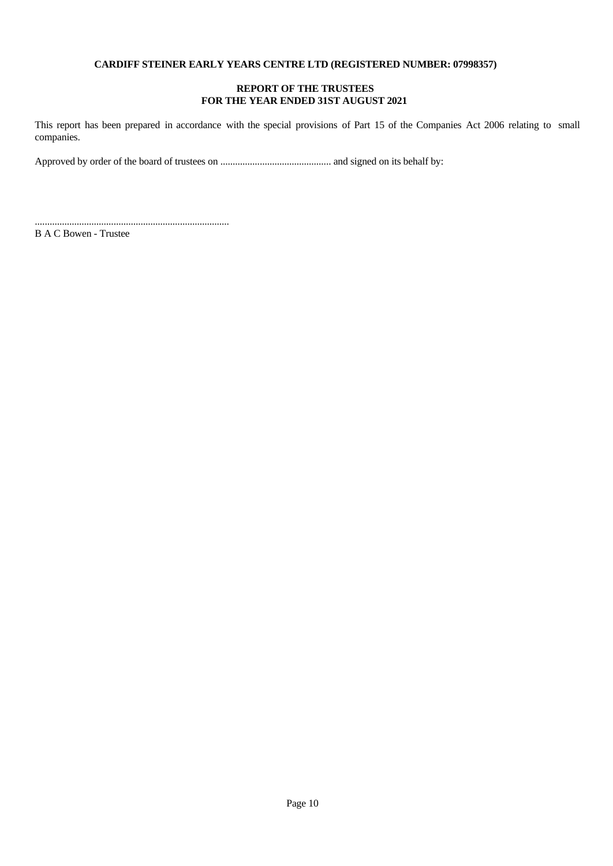## **REPORT OF THE TRUSTEES FOR THE YEAR ENDED 31ST AUGUST 2021**

This report has been prepared in accordance with the special provisions of Part 15 of the Companies Act 2006 relating to small companies.

Approved by order of the board of trustees on ............................................. and signed on its behalf by:

B A C Bowen - Trustee

...............................................................................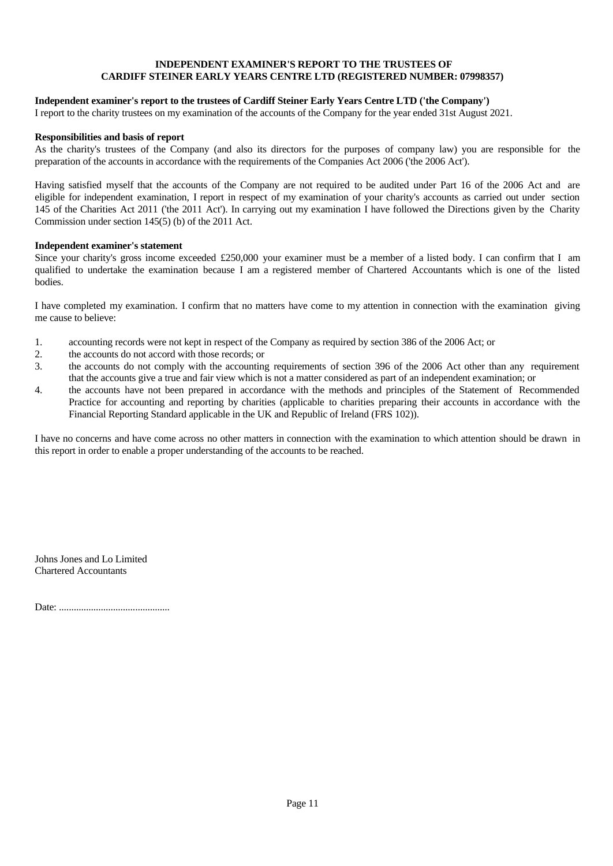## **INDEPENDENT EXAMINER'S REPORT TO THE TRUSTEES OF CARDIFF STEINER EARLY YEARS CENTRE LTD (REGISTERED NUMBER: 07998357)**

## **Independent examiner's report to the trustees of Cardiff Steiner Early Years Centre LTD ('the Company')**

I report to the charity trustees on my examination of the accounts of the Company for the year ended 31st August 2021.

#### **Responsibilities and basis of report**

As the charity's trustees of the Company (and also its directors for the purposes of company law) you are responsible for the preparation of the accounts in accordance with the requirements of the Companies Act 2006 ('the 2006 Act').

Having satisfied myself that the accounts of the Company are not required to be audited under Part 16 of the 2006 Act and are eligible for independent examination, I report in respect of my examination of your charity's accounts as carried out under section 145 of the Charities Act 2011 ('the 2011 Act'). In carrying out my examination I have followed the Directions given by the Charity Commission under section 145(5) (b) of the 2011 Act.

#### **Independent examiner's statement**

Since your charity's gross income exceeded £250,000 your examiner must be a member of a listed body. I can confirm that I am qualified to undertake the examination because I am a registered member of Chartered Accountants which is one of the listed bodies.

I have completed my examination. I confirm that no matters have come to my attention in connection with the examination giving me cause to believe:

- 1. accounting records were not kept in respect of the Company as required by section 386 of the 2006 Act; or
- 2. the accounts do not accord with those records; or
- 3. the accounts do not comply with the accounting requirements of section 396 of the 2006 Act other than any requirement that the accounts give a true and fair view which is not a matter considered as part of an independent examination; or
- 4. the accounts have not been prepared in accordance with the methods and principles of the Statement of Recommended Practice for accounting and reporting by charities (applicable to charities preparing their accounts in accordance with the Financial Reporting Standard applicable in the UK and Republic of Ireland (FRS 102)).

I have no concerns and have come across no other matters in connection with the examination to which attention should be drawn in this report in order to enable a proper understanding of the accounts to be reached.

Johns Jones and Lo Limited Chartered Accountants

Date: .............................................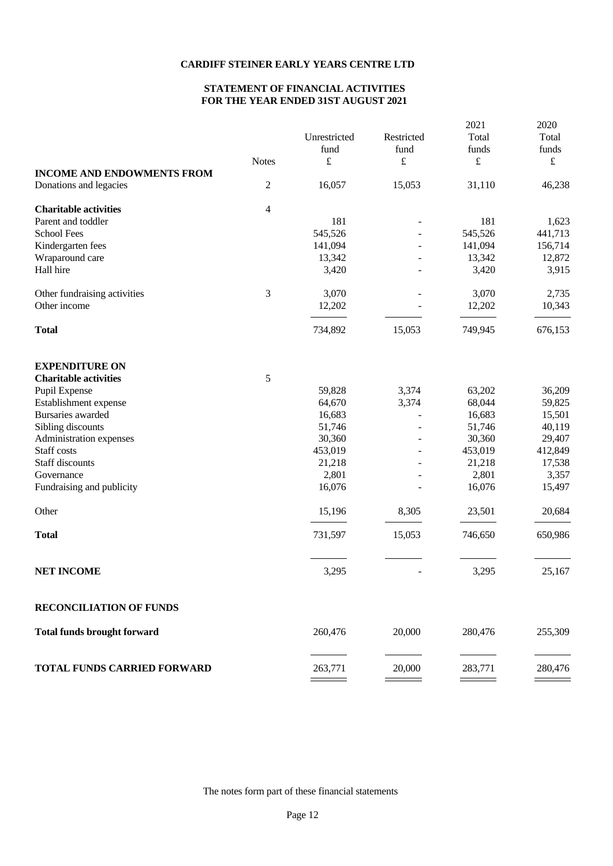# **STATEMENT OF FINANCIAL ACTIVITIES FOR THE YEAR ENDED 31ST AUGUST 2021**

|                                    | <b>Notes</b>     | Unrestricted<br>fund<br>£ | Restricted<br>fund<br>£ | 2021<br>Total<br>funds<br>£ | 2020<br>Total<br>funds<br>$\pounds$ |
|------------------------------------|------------------|---------------------------|-------------------------|-----------------------------|-------------------------------------|
| <b>INCOME AND ENDOWMENTS FROM</b>  |                  |                           |                         |                             |                                     |
| Donations and legacies             | $\boldsymbol{2}$ | 16,057                    | 15,053                  | 31,110                      | 46,238                              |
| <b>Charitable activities</b>       | 4                |                           |                         |                             |                                     |
| Parent and toddler                 |                  | 181                       |                         | 181                         | 1,623                               |
| <b>School Fees</b>                 |                  | 545,526                   |                         | 545,526                     | 441,713                             |
| Kindergarten fees                  |                  | 141,094                   |                         | 141,094                     | 156,714                             |
| Wraparound care                    |                  | 13,342                    |                         | 13,342                      | 12,872                              |
| Hall hire                          |                  | 3,420                     |                         | 3,420                       | 3,915                               |
| Other fundraising activities       | 3                | 3,070                     |                         | 3,070                       | 2,735                               |
| Other income                       |                  | 12,202                    |                         | 12,202                      | 10,343                              |
| <b>Total</b>                       |                  | 734,892                   | 15,053                  | 749,945                     | 676,153                             |
| <b>EXPENDITURE ON</b>              |                  |                           |                         |                             |                                     |
| <b>Charitable activities</b>       | 5                |                           |                         |                             |                                     |
| Pupil Expense                      |                  | 59,828                    | 3,374                   | 63,202                      | 36,209                              |
| Establishment expense              |                  | 64,670                    | 3,374                   | 68,044                      | 59,825                              |
| Bursaries awarded                  |                  | 16,683                    |                         | 16,683                      | 15,501                              |
| Sibling discounts                  |                  | 51,746                    |                         | 51,746                      | 40,119                              |
| Administration expenses            |                  | 30,360                    |                         | 30,360                      | 29,407                              |
| Staff costs                        |                  | 453,019                   |                         | 453,019                     | 412,849                             |
| Staff discounts                    |                  | 21,218                    |                         | 21,218                      | 17,538                              |
| Governance                         |                  | 2,801                     |                         | 2,801                       | 3,357                               |
| Fundraising and publicity          |                  | 16,076                    |                         | 16,076                      | 15,497                              |
|                                    |                  |                           |                         |                             |                                     |
| Other                              |                  | 15,196                    | 8,305                   | 23,501                      | 20,684                              |
| <b>Total</b>                       |                  | 731,597                   | 15,053                  | 746,650                     | 650,986                             |
| <b>NET INCOME</b>                  |                  | 3,295                     |                         | 3,295                       | 25,167                              |
|                                    |                  |                           |                         |                             |                                     |
| <b>RECONCILIATION OF FUNDS</b>     |                  |                           |                         |                             |                                     |
| <b>Total funds brought forward</b> |                  | 260,476                   | 20,000                  | 280,476                     | 255,309                             |
| <b>TOTAL FUNDS CARRIED FORWARD</b> |                  | 263,771                   | 20,000                  | 283,771                     | 280,476                             |

The notes form part of these financial statements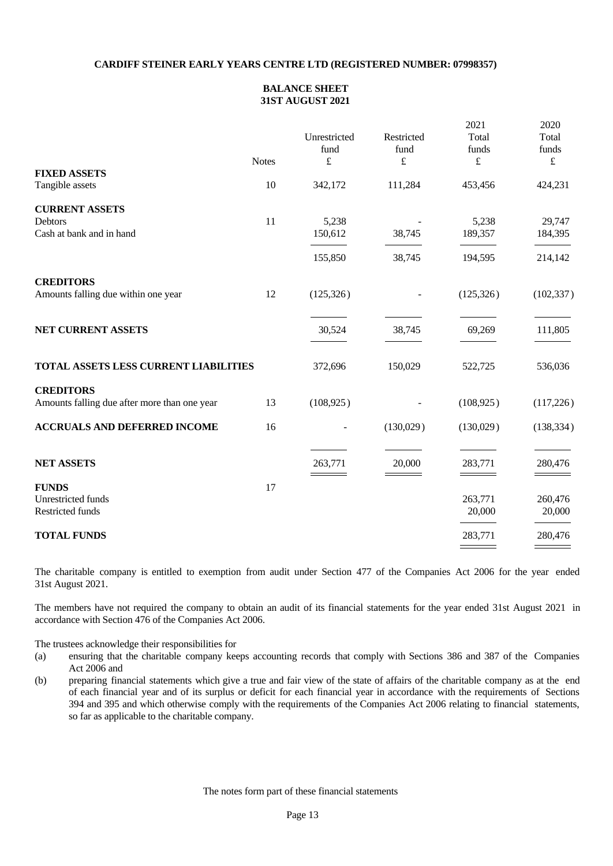## **BALANCE SHEET 31ST AUGUST 2021**

|                                                                  | <b>Notes</b> | Unrestricted<br>fund<br>$\pounds$ | Restricted<br>fund<br>£ | 2021<br>Total<br>funds<br>$\pounds$ | 2020<br>Total<br>funds<br>$\pounds$ |
|------------------------------------------------------------------|--------------|-----------------------------------|-------------------------|-------------------------------------|-------------------------------------|
| <b>FIXED ASSETS</b><br>Tangible assets                           | 10           | 342,172                           | 111,284                 | 453,456                             | 424,231                             |
| <b>CURRENT ASSETS</b>                                            |              |                                   |                         |                                     |                                     |
| Debtors<br>Cash at bank and in hand                              | 11           | 5,238<br>150,612                  | 38,745                  | 5,238<br>189,357                    | 29,747<br>184,395                   |
|                                                                  |              | 155,850                           | 38,745                  | 194,595                             | 214,142                             |
| <b>CREDITORS</b><br>Amounts falling due within one year          | 12           | (125, 326)                        |                         | (125, 326)                          | (102, 337)                          |
| NET CURRENT ASSETS                                               |              | 30,524                            | 38,745                  | 69,269                              | 111,805                             |
| TOTAL ASSETS LESS CURRENT LIABILITIES                            |              | 372,696                           | 150,029                 | 522,725                             | 536,036                             |
| <b>CREDITORS</b><br>Amounts falling due after more than one year | 13           | (108, 925)                        |                         | (108, 925)                          | (117,226)                           |
| <b>ACCRUALS AND DEFERRED INCOME</b>                              | 16           |                                   | (130,029)               | (130,029)                           | (138, 334)                          |
| <b>NET ASSETS</b>                                                |              | 263,771                           | 20,000                  | 283,771                             | 280,476                             |
| <b>FUNDS</b><br>Unrestricted funds<br><b>Restricted funds</b>    | 17           |                                   |                         | 263,771<br>20,000                   | 260,476<br>20,000                   |
| <b>TOTAL FUNDS</b>                                               |              |                                   |                         | 283,771                             | 280,476                             |
|                                                                  |              |                                   |                         |                                     |                                     |

The charitable company is entitled to exemption from audit under Section 477 of the Companies Act 2006 for the year ended 31st August 2021.

The members have not required the company to obtain an audit of its financial statements for the year ended 31st August 2021 in accordance with Section 476 of the Companies Act 2006.

The trustees acknowledge their responsibilities for

- (a) ensuring that the charitable company keeps accounting records that comply with Sections 386 and 387 of the Companies Act 2006 and
- (b) preparing financial statements which give a true and fair view of the state of affairs of the charitable company as at the end of each financial year and of its surplus or deficit for each financial year in accordance with the requirements of Sections 394 and 395 and which otherwise comply with the requirements of the Companies Act 2006 relating to financial statements, so far as applicable to the charitable company.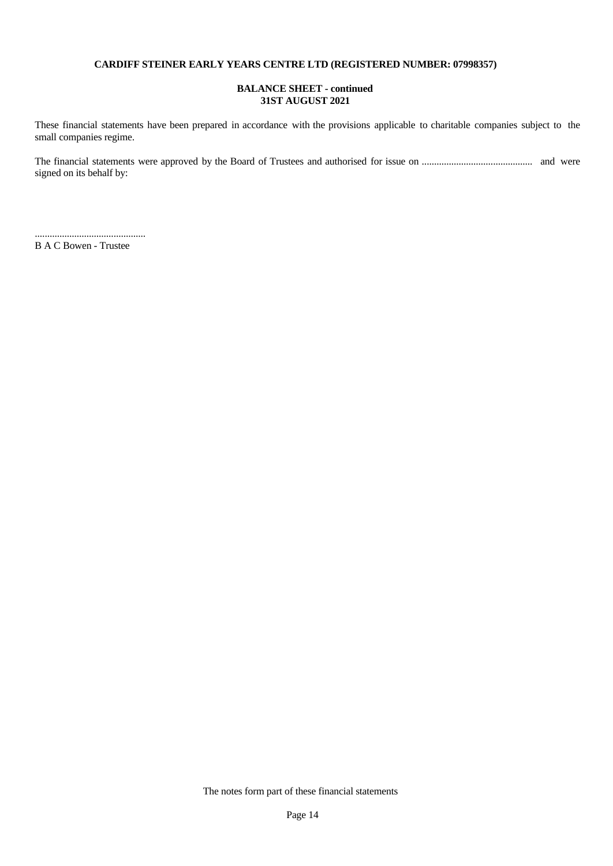## **BALANCE SHEET - continued 31ST AUGUST 2021**

These financial statements have been prepared in accordance with the provisions applicable to charitable companies subject to the small companies regime.

The financial statements were approved by the Board of Trustees and authorised for issue on ............................................. and were signed on its behalf by:

............................................. B A C Bowen - Trustee

The notes form part of these financial statements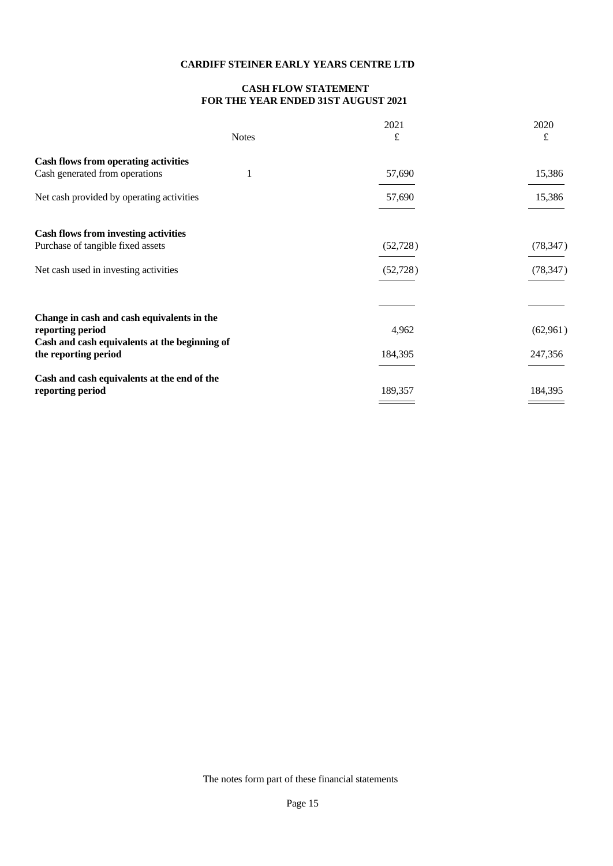# **CASH FLOW STATEMENT FOR THE YEAR ENDED 31ST AUGUST 2021**

| <b>Notes</b>                                                                                                    | 2021<br>£ | 2020<br>£ |  |
|-----------------------------------------------------------------------------------------------------------------|-----------|-----------|--|
| <b>Cash flows from operating activities</b>                                                                     |           |           |  |
| Cash generated from operations                                                                                  | 57,690    | 15,386    |  |
| Net cash provided by operating activities                                                                       | 57,690    | 15,386    |  |
| <b>Cash flows from investing activities</b>                                                                     |           |           |  |
| Purchase of tangible fixed assets                                                                               | (52, 728) | (78, 347) |  |
| Net cash used in investing activities                                                                           | (52, 728) | (78, 347) |  |
|                                                                                                                 |           |           |  |
| Change in cash and cash equivalents in the<br>reporting period<br>Cash and cash equivalents at the beginning of | 4,962     | (62,961)  |  |
| the reporting period                                                                                            | 184,395   | 247,356   |  |
| Cash and cash equivalents at the end of the<br>reporting period                                                 | 189,357   | 184,395   |  |
|                                                                                                                 |           |           |  |

The notes form part of these financial statements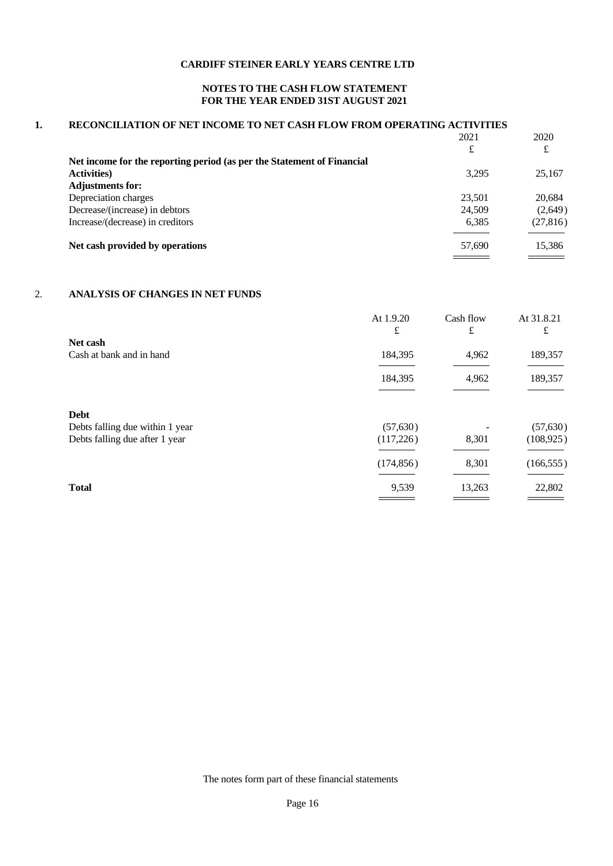## **NOTES TO THE CASH FLOW STATEMENT FOR THE YEAR ENDED 31ST AUGUST 2021**

## **1. RECONCILIATION OF NET INCOME TO NET CASH FLOW FROM OPERATING ACTIVITIES**

|                                                                        | 2021   | 2020      |
|------------------------------------------------------------------------|--------|-----------|
|                                                                        | £      | £         |
| Net income for the reporting period (as per the Statement of Financial |        |           |
| <b>Activities</b> )                                                    | 3.295  | 25,167    |
| <b>Adjustments for:</b>                                                |        |           |
| Depreciation charges                                                   | 23,501 | 20,684    |
| Decrease/(increase) in debtors                                         | 24,509 | (2,649)   |
| Increase/(decrease) in creditors                                       | 6,385  | (27, 816) |
|                                                                        |        |           |
| Net cash provided by operations                                        | 57,690 | 15,386    |
|                                                                        |        |           |

## 2. **ANALYSIS OF CHANGES IN NET FUNDS**

|                                                                   | At 1.9.20<br>£         | Cash flow<br>£ | At 31.8.21<br>£         |
|-------------------------------------------------------------------|------------------------|----------------|-------------------------|
| Net cash<br>Cash at bank and in hand                              | 184,395                | 4,962          | 189,357                 |
|                                                                   | 184,395                | 4,962          | 189,357                 |
| <b>Debt</b>                                                       |                        |                |                         |
| Debts falling due within 1 year<br>Debts falling due after 1 year | (57, 630)<br>(117,226) | 8,301          | (57, 630)<br>(108, 925) |
|                                                                   | (174, 856)             | 8,301          | (166, 555)              |
| <b>Total</b>                                                      | 9,539                  | 13,263         | 22,802                  |

The notes form part of these financial statements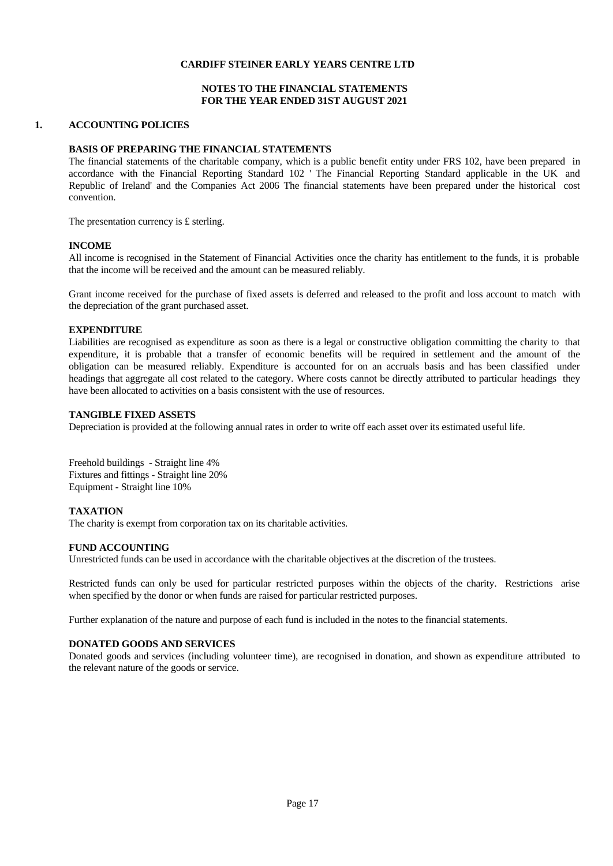## **NOTES TO THE FINANCIAL STATEMENTS FOR THE YEAR ENDED 31ST AUGUST 2021**

## **1. ACCOUNTING POLICIES**

#### **BASIS OF PREPARING THE FINANCIAL STATEMENTS**

The financial statements of the charitable company, which is a public benefit entity under FRS 102, have been prepared in accordance with the Financial Reporting Standard 102 ' The Financial Reporting Standard applicable in the UK and Republic of Ireland' and the Companies Act 2006 The financial statements have been prepared under the historical cost convention.

The presentation currency is £ sterling.

#### **INCOME**

All income is recognised in the Statement of Financial Activities once the charity has entitlement to the funds, it is probable that the income will be received and the amount can be measured reliably.

Grant income received for the purchase of fixed assets is deferred and released to the profit and loss account to match with the depreciation of the grant purchased asset.

#### **EXPENDITURE**

Liabilities are recognised as expenditure as soon as there is a legal or constructive obligation committing the charity to that expenditure, it is probable that a transfer of economic benefits will be required in settlement and the amount of the obligation can be measured reliably. Expenditure is accounted for on an accruals basis and has been classified under headings that aggregate all costrelated to the category. Where costs cannot be directly attributed to particular headings they have been allocated to activities on a basis consistent with the use of resources.

#### **TANGIBLE FIXED ASSETS**

Depreciation is provided at the following annual rates in order to write off each asset over its estimated useful life.

Freehold buildings - Straight line 4% Fixtures and fittings - Straight line 20% Equipment - Straight line 10%

#### **TAXATION**

The charity is exempt from corporation tax on its charitable activities.

#### **FUND ACCOUNTING**

Unrestricted funds can be used in accordance with the charitable objectives at the discretion of the trustees.

Restricted funds can only be used for particular restricted purposes within the objects of the charity. Restrictions arise when specified by the donor or when funds are raised for particular restricted purposes.

Further explanation of the nature and purpose of each fund is included in the notes to the financial statements.

#### **DONATED GOODS AND SERVICES**

Donated goods and services (including volunteer time), are recognised in donation, and shown as expenditure attributed to the relevant nature of the goods or service.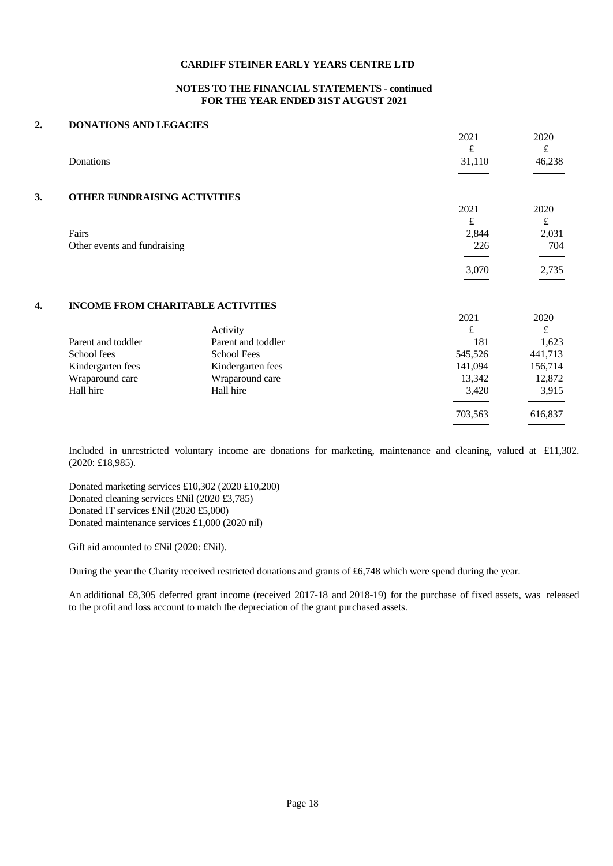#### **NOTES TO THE FINANCIAL STATEMENTS - continued FOR THE YEAR ENDED 31ST AUGUST 2021**

2021 2020  $f$   $f$ 

2021 2020  $f$   $f$ 

3,070 2,735

# **2. DONATIONS AND LEGACIES**  Donations 31,110 46,238 **3. OTHER FUNDRAISING ACTIVITIES**  Fairs 2,844 2,031 Other events and fundraising 226 704

|                    |                    | 2021    | 2020    |
|--------------------|--------------------|---------|---------|
|                    | Activity           | £       | £       |
| Parent and toddler | Parent and toddler | 181     | 1,623   |
| School fees        | <b>School Fees</b> | 545,526 | 441,713 |
| Kindergarten fees  | Kindergarten fees  | 141,094 | 156,714 |
| Wraparound care    | Wraparound care    | 13,342  | 12,872  |
| Hall hire          | Hall hire          | 3,420   | 3,915   |
|                    |                    | 703,563 | 616,837 |
|                    |                    |         |         |

Included in unrestricted voluntary income are donations for marketing, maintenance and cleaning, valued at £11,302. (2020: £18,985).

Donated marketing services £10,302 (2020 £10,200) Donated cleaning services £Nil (2020 £3,785) Donated IT services £Nil (2020 £5,000) Donated maintenance services £1,000 (2020 nil)

Gift aid amounted to £Nil (2020: £Nil).

During the year the Charity received restricted donations and grants of £6,748 which were spend during the year.

An additional £8,305 deferred grant income (received 2017-18 and 2018-19) for the purchase of fixed assets, was released to the profit and loss account to match the depreciation of the grant purchased assets.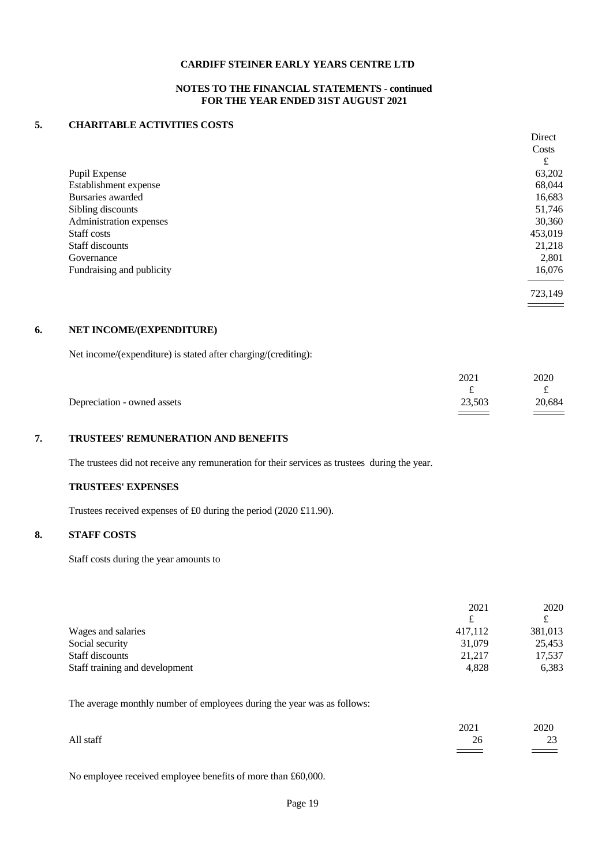## **NOTES TO THE FINANCIAL STATEMENTS - continued FOR THE YEAR ENDED 31ST AUGUST 2021**

#### **5. CHARITABLE ACTIVITIES COSTS**

|                           | Direct  |
|---------------------------|---------|
|                           | Costs   |
|                           | £       |
| Pupil Expense             | 63,202  |
| Establishment expense     | 68,044  |
| Bursaries awarded         | 16,683  |
| Sibling discounts         | 51,746  |
| Administration expenses   | 30,360  |
| Staff costs               | 453,019 |
| Staff discounts           | 21,218  |
| Governance                | 2,801   |
| Fundraising and publicity | 16,076  |
|                           |         |
|                           | 723,149 |

## **6. NET INCOME/(EXPENDITURE)**

Net income/(expenditure) is stated after charging/(crediting):

|                             | 2021   | 2020   |  |
|-----------------------------|--------|--------|--|
|                             |        | ىم     |  |
| Depreciation - owned assets | 23,503 | 20,684 |  |
|                             |        |        |  |

## **7. TRUSTEES' REMUNERATION AND BENEFITS**

The trustees did not receive any remuneration for their services as trustees during the year.

## **TRUSTEES' EXPENSES**

Trustees received expenses of £0 during the period (2020 £11.90).

## **8. STAFF COSTS**

Staff costs during the year amounts to

|                                | 2021    | 2020    |
|--------------------------------|---------|---------|
|                                |         |         |
| Wages and salaries             | 417,112 | 381,013 |
| Social security                | 31,079  | 25,453  |
| Staff discounts                | 21,217  | 17,537  |
| Staff training and development | 4,828   | 6,383   |

The average monthly number of employees during the year was as follows:

|           | 2021<br>the contract of the contract of the | 2020          |  |
|-----------|---------------------------------------------|---------------|--|
| All staff | $\angle$                                    | $\sim$<br>ر د |  |
|           |                                             |               |  |

No employee received employee benefits of more than £60,000.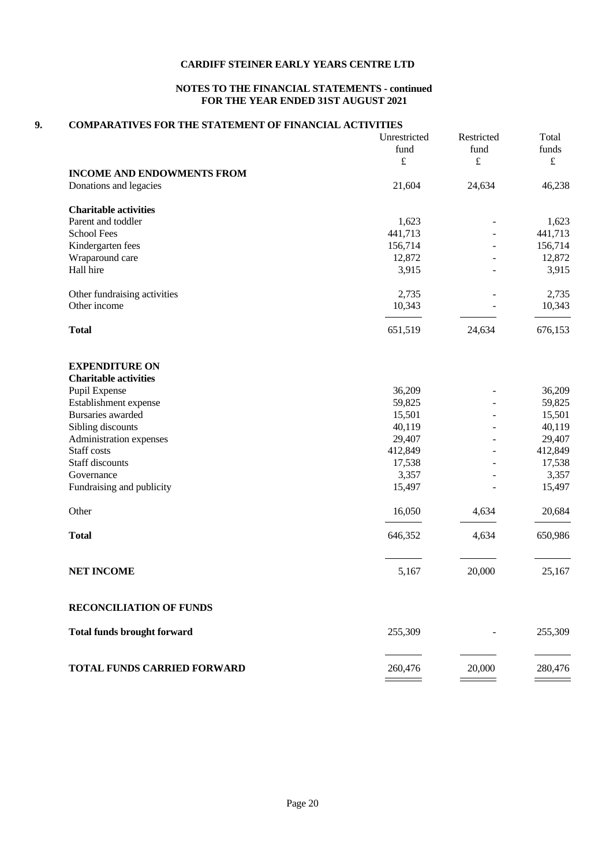## **NOTES TO THE FINANCIAL STATEMENTS - continued FOR THE YEAR ENDED 31ST AUGUST 2021**

#### **9. COMPARATIVES FOR THE STATEMENT OF FINANCIAL ACTIVITIES**

|                                    | Unrestricted<br>fund<br>$\pounds$ | Restricted<br>fund<br>$\pounds$ | Total<br>funds<br>$\pounds$ |
|------------------------------------|-----------------------------------|---------------------------------|-----------------------------|
| <b>INCOME AND ENDOWMENTS FROM</b>  |                                   |                                 |                             |
| Donations and legacies             | 21,604                            | 24,634                          | 46,238                      |
| <b>Charitable activities</b>       |                                   |                                 |                             |
| Parent and toddler                 | 1,623                             |                                 | 1,623                       |
| <b>School Fees</b>                 | 441,713                           |                                 | 441,713                     |
| Kindergarten fees                  | 156,714                           |                                 | 156,714                     |
| Wraparound care                    | 12,872                            |                                 | 12,872                      |
| Hall hire                          | 3,915                             |                                 | 3,915                       |
| Other fundraising activities       | 2,735                             |                                 | 2,735                       |
| Other income                       | 10,343                            |                                 | 10,343                      |
| <b>Total</b>                       | 651,519                           | 24,634                          | 676,153                     |
| <b>EXPENDITURE ON</b>              |                                   |                                 |                             |
| <b>Charitable activities</b>       |                                   |                                 |                             |
| Pupil Expense                      | 36,209                            |                                 | 36,209                      |
| Establishment expense              | 59,825                            |                                 | 59,825                      |
| Bursaries awarded                  | 15,501                            |                                 | 15,501                      |
| Sibling discounts                  | 40,119                            | $\overline{\phantom{a}}$        | 40,119                      |
| Administration expenses            | 29,407                            | ÷,                              | 29,407                      |
| Staff costs                        | 412,849                           | $\overline{\phantom{a}}$        | 412,849                     |
| Staff discounts                    | 17,538                            | $\overline{a}$                  | 17,538                      |
| Governance                         | 3,357                             |                                 | 3,357                       |
| Fundraising and publicity          | 15,497                            |                                 | 15,497                      |
| Other                              | 16,050                            | 4,634                           | 20,684                      |
| <b>Total</b>                       | 646,352                           | 4,634                           | 650,986                     |
| <b>NET INCOME</b>                  | 5,167                             | 20,000                          | 25,167                      |
| <b>RECONCILIATION OF FUNDS</b>     |                                   |                                 |                             |
| <b>Total funds brought forward</b> | 255,309                           |                                 | 255,309                     |
| TOTAL FUNDS CARRIED FORWARD        | 260,476                           | 20,000                          | 280,476                     |

 $\equiv$ 

 $\overline{\phantom{0}}$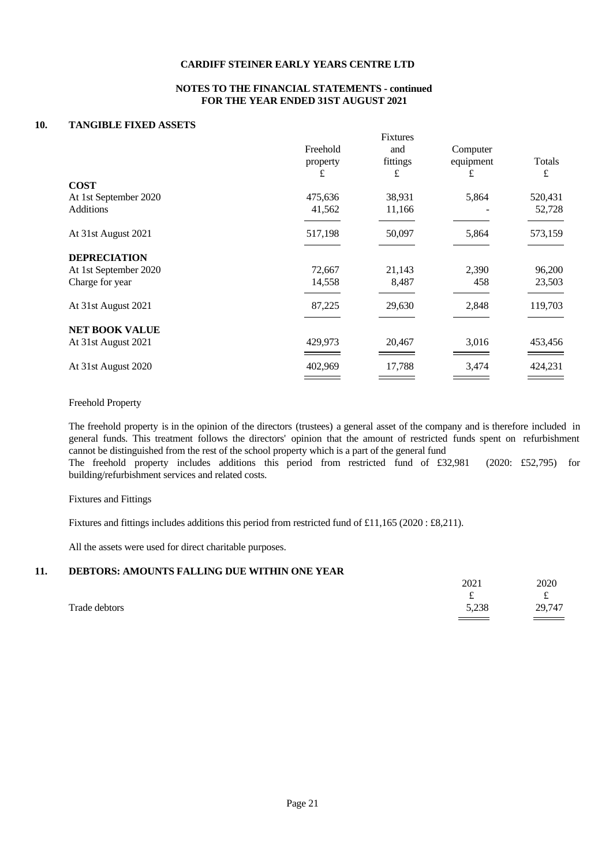#### **NOTES TO THE FINANCIAL STATEMENTS - continued FOR THE YEAR ENDED 31ST AUGUST 2021**

#### **10. TANGIBLE FIXED ASSETS**

|                       |          | Fixtures |           |         |  |
|-----------------------|----------|----------|-----------|---------|--|
|                       | Freehold | and      | Computer  |         |  |
|                       | property | fittings | equipment | Totals  |  |
|                       | £        | £        | £         | £       |  |
| <b>COST</b>           |          |          |           |         |  |
| At 1st September 2020 | 475,636  | 38,931   | 5,864     | 520,431 |  |
| <b>Additions</b>      | 41,562   | 11,166   |           | 52,728  |  |
|                       |          |          |           |         |  |
| At 31st August 2021   | 517,198  | 50,097   | 5,864     | 573,159 |  |
|                       |          |          |           |         |  |
| <b>DEPRECIATION</b>   |          |          |           |         |  |
| At 1st September 2020 | 72,667   | 21,143   | 2,390     | 96,200  |  |
| Charge for year       | 14,558   | 8,487    | 458       | 23,503  |  |
|                       |          |          |           |         |  |
| At 31st August 2021   | 87,225   | 29,630   | 2,848     | 119,703 |  |
|                       |          |          |           |         |  |
| <b>NET BOOK VALUE</b> |          |          |           |         |  |
| At 31st August 2021   | 429,973  | 20,467   | 3,016     | 453,456 |  |
|                       |          |          |           |         |  |
| At 31st August 2020   | 402,969  | 17,788   | 3,474     | 424,231 |  |
|                       |          |          |           |         |  |

#### Freehold Property

The freehold property is in the opinion of the directors (trustees) a generalasset of the company and is therefore included in general funds. This treatment follows the directors' opinion that the amount of restricted funds spent on refurbishment cannot be distinguished from the rest of the school property which is a part of the general fund The freehold property includes additions this period from restricted fund of £32,981 (2020: £52,795) for building/refurbishment services and related costs.

#### Fixtures and Fittings

Fixtures and fittings includes additions this period from restricted fund of £11,165 (2020 : £8,211).

All the assets were used for direct charitable purposes.

#### **11. DEBTORS: AMOUNTS FALLING DUE WITHIN ONE YEAR**

|               | 2021                                            | 2020                  |  |
|---------------|-------------------------------------------------|-----------------------|--|
|               | $\overline{\phantom{a}}$                        | $\tilde{\phantom{a}}$ |  |
| Trade debtors | 5,238                                           | 29,747                |  |
|               | the contract of the contract of the contract of |                       |  |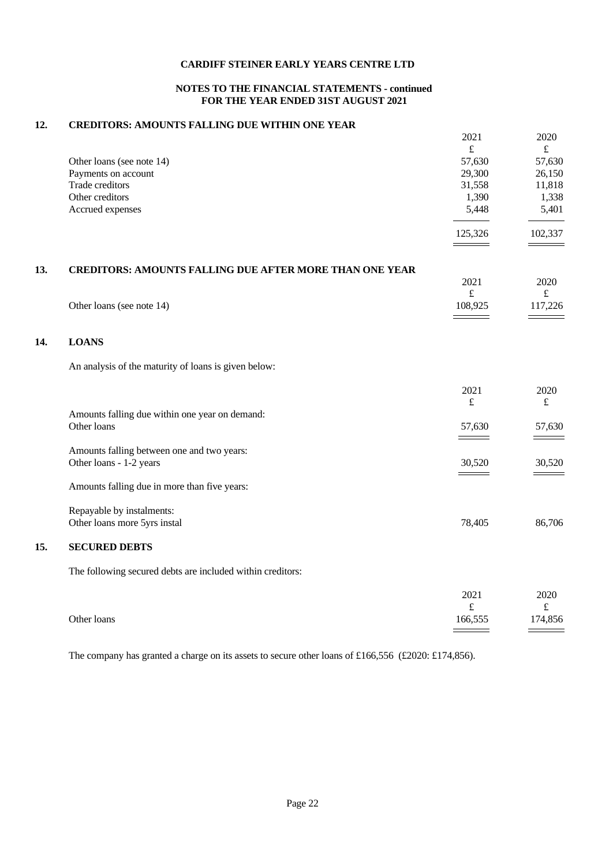## **NOTES TO THE FINANCIAL STATEMENTS - continued FOR THE YEAR ENDED 31ST AUGUST 2021**

## **12. CREDITORS: AMOUNTS FALLING DUE WITHIN ONE YEAR**

|     |                                                                | 2021      | 2020           |
|-----|----------------------------------------------------------------|-----------|----------------|
|     |                                                                | $\pounds$ | $\pounds$      |
|     | Other loans (see note 14)                                      | 57,630    | 57,630         |
|     | Payments on account                                            | 29,300    | 26,150         |
|     | Trade creditors                                                | 31,558    | 11,818         |
|     | Other creditors                                                | 1,390     | 1,338<br>5,401 |
|     | Accrued expenses                                               | 5,448     |                |
|     |                                                                | 125,326   | 102,337        |
|     |                                                                |           |                |
|     |                                                                |           |                |
| 13. | <b>CREDITORS: AMOUNTS FALLING DUE AFTER MORE THAN ONE YEAR</b> | 2021      | 2020           |
|     |                                                                | $\pounds$ | $\pounds$      |
|     | Other loans (see note 14)                                      | 108,925   | 117,226        |
|     |                                                                |           |                |
| 14. | <b>LOANS</b>                                                   |           |                |
|     |                                                                |           |                |
|     | An analysis of the maturity of loans is given below:           |           |                |
|     |                                                                | 2021      | 2020           |
|     |                                                                | $\pounds$ | $\pounds$      |
|     | Amounts falling due within one year on demand:                 |           |                |
|     | Other loans                                                    | 57,630    | 57,630         |
|     |                                                                |           |                |
|     | Amounts falling between one and two years:                     |           |                |
|     | Other loans - 1-2 years                                        | 30,520    | 30,520         |
|     |                                                                |           |                |
|     | Amounts falling due in more than five years:                   |           |                |
|     | Repayable by instalments:                                      |           |                |
|     | Other loans more 5yrs instal                                   | 78,405    | 86,706         |
| 15. | <b>SECURED DEBTS</b>                                           |           |                |
|     | The following secured debts are included within creditors:     |           |                |
|     |                                                                | 2021      | 2020           |
|     |                                                                | $\pounds$ | $\pounds$      |
|     | Other loans                                                    | 166,555   | 174,856        |
|     |                                                                |           |                |

The company has granted a charge on its assets to secure other loans of £166,556 (£2020: £174,856).